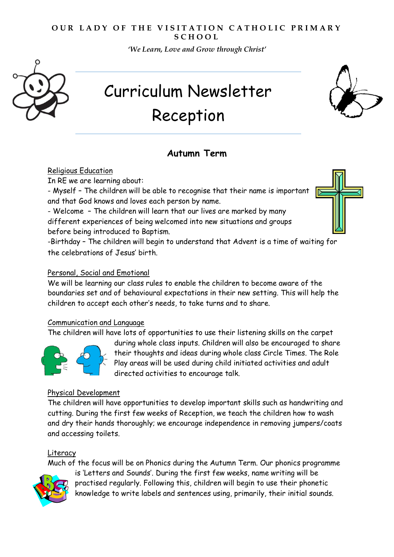### **OUR LADY OF THE VISITATION CATHOLIC PRIMARY S C H O O L**

*'We Learn, Love and Grow through Christ'* 



# Curriculum Newsletter Reception

# **Autumn Term**

Religious Education

In RE we are learning about:

- Myself – The children will be able to recognise that their name is important and that God knows and loves each person by name.

- Welcome – The children will learn that our lives are marked by many different experiences of being welcomed into new situations and groups before being introduced to Baptism.

-Birthday – The children will begin to understand that Advent is a time of waiting for the celebrations of Jesus' birth.

# Personal, Social and Emotional

We will be learning our class rules to enable the children to become aware of the boundaries set and of behavioural expectations in their new setting. This will help the children to accept each other's needs, to take turns and to share.

#### Communication and Language

The children will have lots of opportunities to use their listening skills on the carpet



during whole class inputs. Children will also be encouraged to share their thoughts and ideas during whole class Circle Times. The Role Play areas will be used during child initiated activities and adult directed activities to encourage talk.

# Physical Development

The children will have opportunities to develop important skills such as handwriting and cutting. During the first few weeks of Reception, we teach the children how to wash and dry their hands thoroughly; we encourage independence in removing jumpers/coats and accessing toilets.

# Literacy

Much of the focus will be on Phonics during the Autumn Term. Our phonics programme is 'Letters and Sounds'. During the first few weeks, name writing will be



practised regularly. Following this, children will begin to use their phonetic knowledge to write labels and sentences using, primarily, their initial sounds.